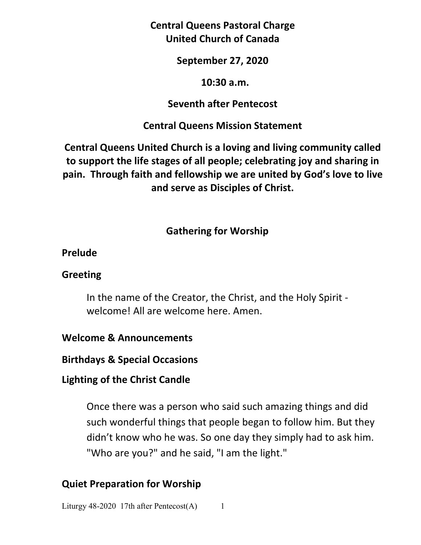**Central Queens Pastoral Charge United Church of Canada** 

#### **September 27, 2020**

#### **10:30 a.m.**

### **Seventh after Pentecost**

# **Central Queens Mission Statement**

**Central Queens United Church is a loving and living community called to support the life stages of all people; celebrating joy and sharing in pain. Through faith and fellowship we are united by God's love to live and serve as Disciples of Christ.**

# **Gathering for Worship**

#### **Prelude**

# **Greeting**

In the name of the Creator, the Christ, and the Holy Spirit welcome! All are welcome here. Amen.

# **Welcome & Announcements**

**Birthdays & Special Occasions** 

# **Lighting of the Christ Candle**

Once there was a person who said such amazing things and did such wonderful things that people began to follow him. But they didn't know who he was. So one day they simply had to ask him. "Who are you?" and he said, "I am the light."

# **Quiet Preparation for Worship**

Liturgy  $48-2020$  17th after Pentecost(A) 1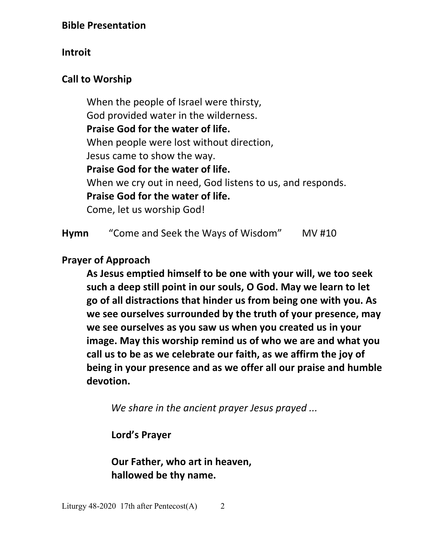# **Bible Presentation**

#### **Introit**

### **Call to Worship**

 When the people of Israel were thirsty, God provided water in the wilderness.  **Praise God for the water of life.**  When people were lost without direction, Jesus came to show the way. **Praise God for the water of life.**  When we cry out in need, God listens to us, and responds.  **Praise God for the water of life.**  Come, let us worship God!

**Hymn** "Come and Seek the Ways of Wisdom" MV #10

#### **Prayer of Approach**

 **As Jesus emptied himself to be one with your will, we too seek such a deep still point in our souls, O God. May we learn to let go of all distractions that hinder us from being one with you. As we see ourselves surrounded by the truth of your presence, may we see ourselves as you saw us when you created us in your image. May this worship remind us of who we are and what you call us to be as we celebrate our faith, as we affirm the joy of being in your presence and as we offer all our praise and humble devotion.** 

*We share in the ancient prayer Jesus prayed ...*

 **Lord's Prayer** 

 **Our Father, who art in heaven, hallowed be thy name.**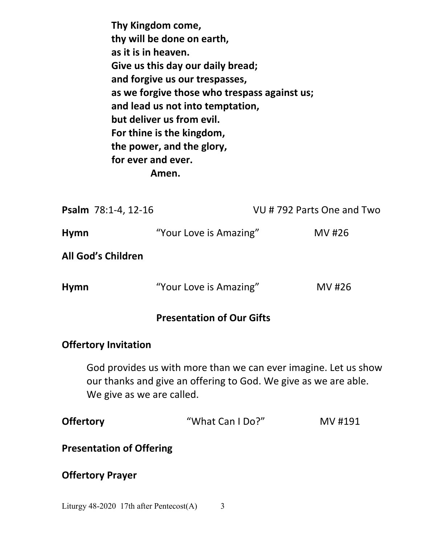**Thy Kingdom come, thy will be done on earth, as it is in heaven. Give us this day our daily bread; and forgive us our trespasses, as we forgive those who trespass against us; and lead us not into temptation, but deliver us from evil. For thine is the kingdom, the power, and the glory, for ever and ever. Amen.** 

| Psalm 78:1-4, 12-16 |                                  | VU #792 Parts One and Two |
|---------------------|----------------------------------|---------------------------|
| <b>Hymn</b>         | "Your Love is Amazing"           | MV #26                    |
| All God's Children  |                                  |                           |
| <b>Hymn</b>         | "Your Love is Amazing"           | MV #26                    |
|                     | <b>Presentation of Our Gifts</b> |                           |

#### **Offertory Invitation**

 God provides us with more than we can ever imagine. Let us show our thanks and give an offering to God. We give as we are able. We give as we are called.

| <b>Offertory</b>                | "What Can I Do?" | MV #191 |
|---------------------------------|------------------|---------|
| <b>Presentation of Offering</b> |                  |         |
| <b>Offertory Prayer</b>         |                  |         |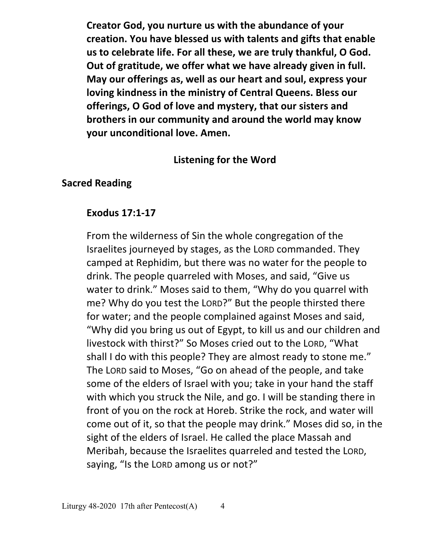**Creator God, you nurture us with the abundance of your creation. You have blessed us with talents and gifts that enable us to celebrate life. For all these, we are truly thankful, O God. Out of gratitude, we offer what we have already given in full. May our offerings as, well as our heart and soul, express your loving kindness in the ministry of Central Queens. Bless our offerings, O God of love and mystery, that our sisters and brothers in our community and around the world may know your unconditional love. Amen.** 

#### **Listening for the Word**

#### **Sacred Reading**

#### **Exodus 17:1-17**

From the wilderness of Sin the whole congregation of the Israelites journeyed by stages, as the LORD commanded. They camped at Rephidim, but there was no water for the people to drink. The people quarreled with Moses, and said, "Give us water to drink." Moses said to them, "Why do you quarrel with me? Why do you test the LORD?" But the people thirsted there for water; and the people complained against Moses and said, "Why did you bring us out of Egypt, to kill us and our children and livestock with thirst?" So Moses cried out to the LORD, "What shall I do with this people? They are almost ready to stone me." The LORD said to Moses, "Go on ahead of the people, and take some of the elders of Israel with you; take in your hand the staff with which you struck the Nile, and go. I will be standing there in front of you on the rock at Horeb. Strike the rock, and water will come out of it, so that the people may drink." Moses did so, in the sight of the elders of Israel. He called the place Massah and Meribah, because the Israelites quarreled and tested the LORD, saying, "Is the LORD among us or not?"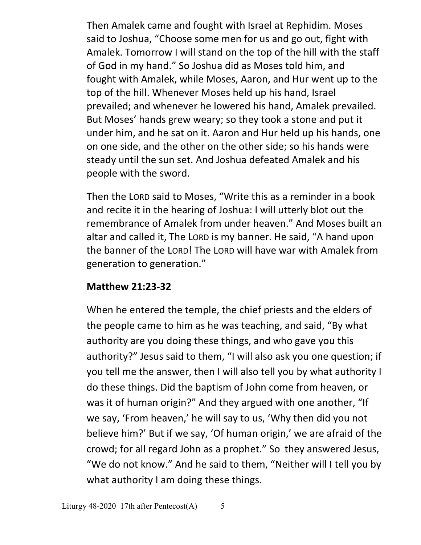Then Amalek came and fought with Israel at Rephidim. Moses said to Joshua, "Choose some men for us and go out, fight with Amalek. Tomorrow I will stand on the top of the hill with the staff of God in my hand." So Joshua did as Moses told him, and fought with Amalek, while Moses, Aaron, and Hur went up to the top of the hill. Whenever Moses held up his hand, Israel prevailed; and whenever he lowered his hand, Amalek prevailed. But Moses' hands grew weary; so they took a stone and put it under him, and he sat on it. Aaron and Hur held up his hands, one on one side, and the other on the other side; so his hands were steady until the sun set. And Joshua defeated Amalek and his people with the sword.

Then the LORD said to Moses, "Write this as a reminder in a book and recite it in the hearing of Joshua: I will utterly blot out the remembrance of Amalek from under heaven." And Moses built an altar and called it, The LORD is my banner. He said, "A hand upon the banner of the LORD! The LORD will have war with Amalek from generation to generation."

# **Matthew 21:23-32**

When he entered the temple, the chief priests and the elders of the people came to him as he was teaching, and said, "By what authority are you doing these things, and who gave you this authority?" Jesus said to them, "I will also ask you one question; if you tell me the answer, then I will also tell you by what authority I do these things. Did the baptism of John come from heaven, or was it of human origin?" And they argued with one another, "If we say, 'From heaven,' he will say to us, 'Why then did you not believe him?' But if we say, 'Of human origin,' we are afraid of the crowd; for all regard John as a prophet." So they answered Jesus, "We do not know." And he said to them, "Neither will I tell you by what authority I am doing these things.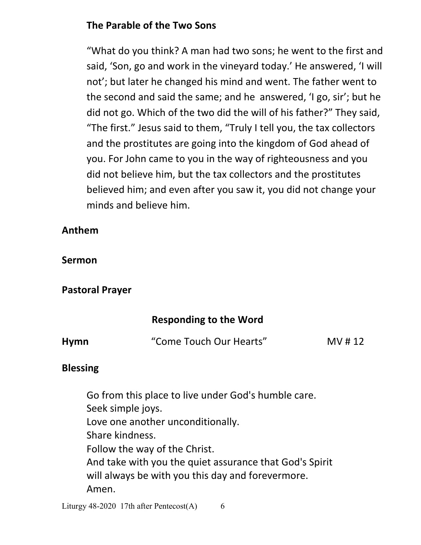# **The Parable of the Two Sons**

"What do you think? A man had two sons; he went to the first and said, 'Son, go and work in the vineyard today.' He answered, 'I will not'; but later he changed his mind and went. The father went to the second and said the same; and he answered, 'I go, sir'; but he did not go. Which of the two did the will of his father?" They said, "The first." Jesus said to them, "Truly I tell you, the tax collectors and the prostitutes are going into the kingdom of God ahead of you. For John came to you in the way of righteousness and you did not believe him, but the tax collectors and the prostitutes believed him; and even after you saw it, you did not change your minds and believe him.

# **Anthem**

#### **Sermon**

# **Pastoral Prayer**

# **Responding to the Word**

| <b>Hymn</b> | "Come Touch Our Hearts" | MV # 12 |
|-------------|-------------------------|---------|
|             |                         |         |

#### **Blessing**

 Go from this place to live under God's humble care. Seek simple joys. Love one another unconditionally. Share kindness. Follow the way of the Christ. And take with you the quiet assurance that God's Spirit will always be with you this day and forevermore. Amen.